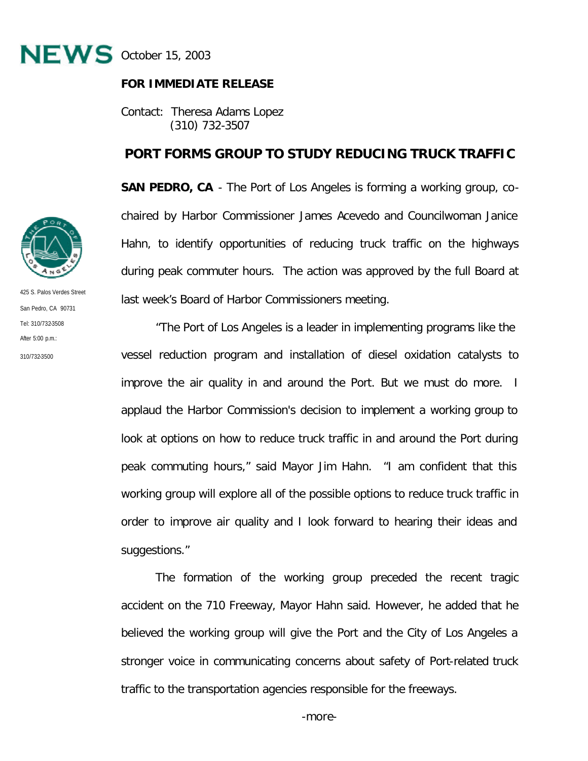

## **FOR IMMEDIATE RELEASE**

Contact: Theresa Adams Lopez (310) 732-3507

## **PORT FORMS GROUP TO STUDY REDUCING TRUCK TRAFFIC**

**SAN PEDRO, CA** - The Port of Los Angeles is forming a working group, cochaired by Harbor Commissioner James Acevedo and Councilwoman Janice Hahn, to identify opportunities of reducing truck traffic on the highways during peak commuter hours. The action was approved by the full Board at last week's Board of Harbor Commissioners meeting.

"The Port of Los Angeles is a leader in implementing programs like the vessel reduction program and installation of diesel oxidation catalysts to improve the air quality in and around the Port. But we must do more. I applaud the Harbor Commission's decision to implement a working group to look at options on how to reduce truck traffic in and around the Port during peak commuting hours," said Mayor Jim Hahn. "I am confident that this working group will explore all of the possible options to reduce truck traffic in order to improve air quality and I look forward to hearing their ideas and suggestions."

The formation of the working group preceded the recent tragic accident on the 710 Freeway, Mayor Hahn said. However, he added that he believed the working group will give the Port and the City of Los Angeles a stronger voice in communicating concerns about safety of Port-related truck traffic to the transportation agencies responsible for the freeways.



425 S. Palos Verdes Street San Pedro, CA 90731 Tel: 310/732-3508 After  $5:00 \text{ p.m.}$ 310/732-3500